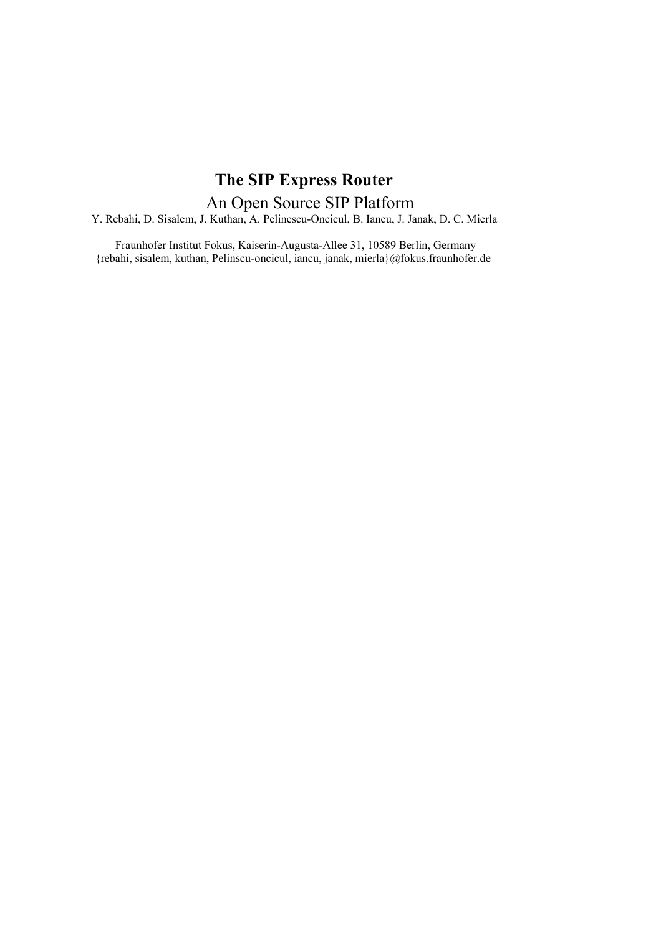# **The SIP Express Router**  An Open Source SIP Platform

Y. Rebahi, D. Sisalem, J. Kuthan, A. Pelinescu-Oncicul, B. Iancu, J. Janak, D. C. Mierla

 Fraunhofer Institut Fokus, Kaiserin-Augusta-Allee 31, 10589 Berlin, Germany {rebahi, sisalem, kuthan, Pelinscu-oncicul, iancu, janak, mierla}@fokus.fraunhofer.de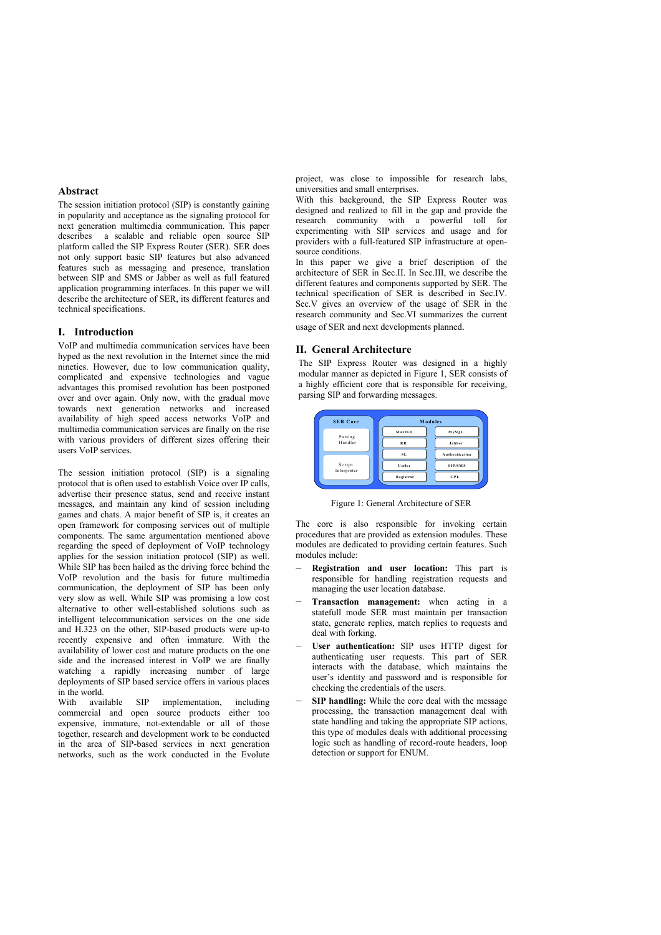#### **Abstract**

The session initiation protocol (SIP) is constantly gaining in popularity and acceptance as the signaling protocol for next generation multimedia communication. This paper describes a scalable and reliable open source SIP platform called the SIP Express Router (SER). SER does not only support basic SIP features but also advanced features such as messaging and presence, translation between SIP and SMS or Jabber as well as full featured application programming interfaces. In this paper we will describe the architecture of SER, its different features and technical specifications.

### **I. Introduction**

VoIP and multimedia communication services have been hyped as the next revolution in the Internet since the mid nineties. However, due to low communication quality, complicated and expensive technologies and vague advantages this promised revolution has been postponed over and over again. Only now, with the gradual move towards next generation networks and increased availability of high speed access networks VoIP and multimedia communication services are finally on the rise with various providers of different sizes offering their users VoIP services.

The session initiation protocol (SIP) is a signaling protocol that is often used to establish Voice over IP calls, advertise their presence status, send and receive instant messages, and maintain any kind of session including games and chats. A major benefit of SIP is, it creates an open framework for composing services out of multiple components. The same argumentation mentioned above regarding the speed of deployment of VoIP technology applies for the session initiation protocol (SIP) as well. While SIP has been hailed as the driving force behind the VoIP revolution and the basis for future multimedia communication, the deployment of SIP has been only very slow as well. While SIP was promising a low cost alternative to other well-established solutions such as intelligent telecommunication services on the one side and H.323 on the other, SIP-based products were up-to recently expensive and often immature. With the availability of lower cost and mature products on the one side and the increased interest in VoIP we are finally watching a rapidly increasing number of large deployments of SIP based service offers in various places in the world.<br>With available SIP

implementation, including commercial and open source products either too expensive, immature, not-extendable or all of those together, research and development work to be conducted in the area of SIP-based services in next generation networks, such as the work conducted in the Evolute

project, was close to impossible for research labs, universities and small enterprises.

With this background, the SIP Express Router was designed and realized to fill in the gap and provide the research community with a powerful toll for experimenting with SIP services and usage and for providers with a full-featured SIP infrastructure at opensource conditions.

In this paper we give a brief description of the architecture of SER in Sec.II. In Sec.III, we describe the different features and components supported by SER. The technical specification of SER is described in Sec.IV. Sec.V gives an overview of the usage of SER in the research community and Sec.VI summarizes the current usage of SER and next developments planned.

# **II. General Architecture**

The SIP Express Router was designed in a highly modular manner as depicted in Figure 1, SER consists of a highly efficient core that is responsible for receiving, parsing SIP and forwarding messages.

| <b>SER Core</b>       | <b>Modules</b> |                |
|-----------------------|----------------|----------------|
| Parsing<br>Handler    | Maxfwd         | MySQL          |
|                       | <b>RR</b>      | Jabber         |
| Script<br>Interpreter | SL.            | Authentication |
|                       | Usrloc         | SIP/SMS        |
|                       | Registrar      | <b>CPL</b>     |

Figure 1: General Architecture of SER

The core is also responsible for invoking certain procedures that are provided as extension modules. These modules are dedicated to providing certain features. Such modules include:

- − **Registration and user location:** This part is responsible for handling registration requests and managing the user location database.
- Transaction management: when acting in a statefull mode SER must maintain per transaction state, generate replies, match replies to requests and deal with forking.
- User authentication: SIP uses HTTP digest for authenticating user requests. This part of SER interacts with the database, which maintains the user's identity and password and is responsible for checking the credentials of the users.
- **SIP handling:** While the core deal with the message processing, the transaction management deal with state handling and taking the appropriate SIP actions, this type of modules deals with additional processing logic such as handling of record-route headers, loop detection or support for ENUM.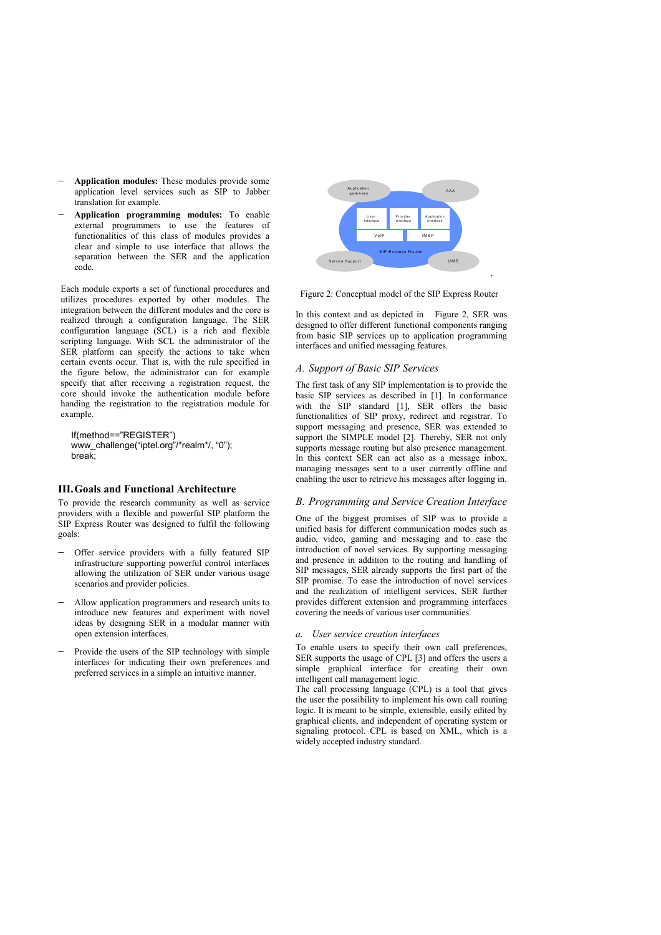- **Application modules:** These modules provide some application level services such as SIP to Jabber translation for example.
- − **Application programming modules:** To enable external programmers to use the features of functionalities of this class of modules provides a clear and simple to use interface that allows the separation between the SER and the application code.

Each module exports a set of functional procedures and utilizes procedures exported by other modules. The integration between the different modules and the core is realized through a configuration language. The SER configuration language (SCL) is a rich and flexible scripting language. With SCL the administrator of the SER platform can specify the actions to take when certain events occur. That is, with the rule specified in the figure below, the administrator can for example specify that after receiving a registration request, the core should invoke the authentication module before handing the registration to the registration module for example.

If(method=="REGISTER") www\_challenge("iptel.org"/\*realm\*/, "0"); break;

### **III.Goals and Functional Architecture**

To provide the research community as well as service providers with a flexible and powerful SIP platform the SIP Express Router was designed to fulfil the following goals:

- Offer service providers with a fully featured SIP infrastructure supporting powerful control interfaces allowing the utilization of SER under various usage scenarios and provider policies.
- − Allow application programmers and research units to introduce new features and experiment with novel ideas by designing SER in a modular manner with open extension interfaces.
- Provide the users of the SIP technology with simple interfaces for indicating their own preferences and preferred services in a simple an intuitive manner.



Figure 2: Conceptual model of the SIP Express Router

**´** 

In this context and as depicted in Figure 2, SER was designed to offer different functional components ranging from basic SIP services up to application programming interfaces and unified messaging features.

## *A. Support of Basic SIP Services*

The first task of any SIP implementation is to provide the basic SIP services as described in [1]. In conformance with the SIP standard [1], SER offers the basic functionalities of SIP proxy, redirect and registrar. To support messaging and presence, SER was extended to support the SIMPLE model [2]. Thereby, SER not only supports message routing but also presence management. In this context SER can act also as a message inbox, managing messages sent to a user currently offline and enabling the user to retrieve his messages after logging in.

#### *B. Programming and Service Creation Interface*

One of the biggest promises of SIP was to provide a unified basis for different communication modes such as audio, video, gaming and messaging and to ease the introduction of novel services. By supporting messaging and presence in addition to the routing and handling of SIP messages, SER already supports the first part of the SIP promise. To ease the introduction of novel services and the realization of intelligent services, SER further provides different extension and programming interfaces covering the needs of various user communities.

#### *a. User service creation interfaces*

To enable users to specify their own call preferences, SER supports the usage of CPL [3] and offers the users a simple graphical interface for creating their own intelligent call management logic.

The call processing language (CPL) is a tool that gives the user the possibility to implement his own call routing logic. It is meant to be simple, extensible, easily edited by graphical clients, and independent of operating system or signaling protocol. CPL is based on XML, which is a widely accepted industry standard.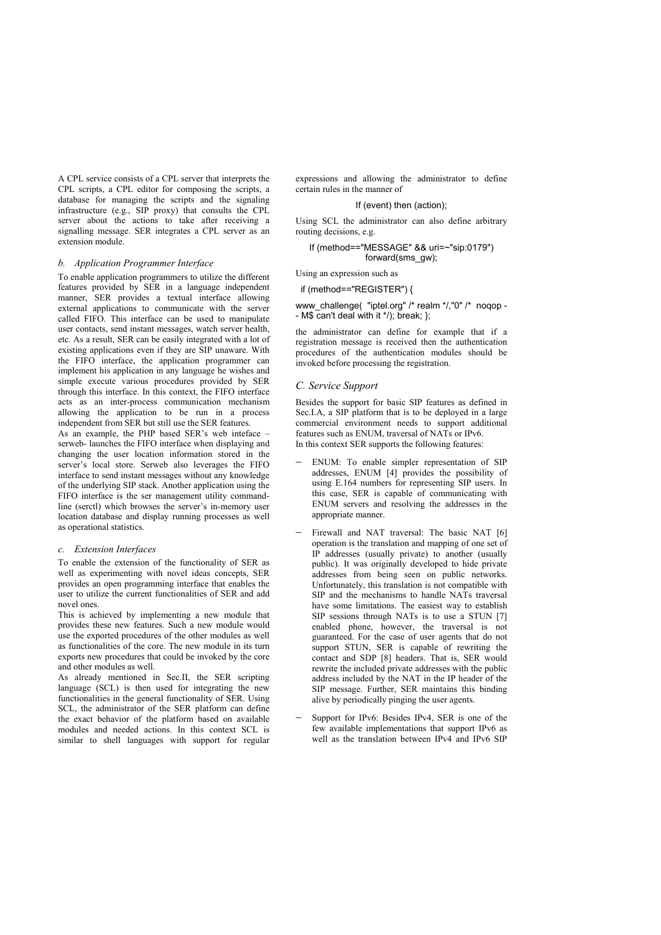A CPL service consists of a CPL server that interprets the CPL scripts, a CPL editor for composing the scripts, a database for managing the scripts and the signaling infrastructure (e.g., SIP proxy) that consults the CPL server about the actions to take after receiving a signalling message. SER integrates a CPL server as an extension module.

#### *b. Application Programmer Interface*

To enable application programmers to utilize the different features provided by SER in a language independent manner, SER provides a textual interface allowing external applications to communicate with the server called FIFO. This interface can be used to manipulate user contacts, send instant messages, watch server health, etc. As a result, SER can be easily integrated with a lot of existing applications even if they are SIP unaware. With the FIFO interface, the application programmer can implement his application in any language he wishes and simple execute various procedures provided by SER through this interface. In this context, the FIFO interface acts as an inter-process communication mechanism allowing the application to be run in a process independent from SER but still use the SER features.

As an example, the PHP based SER's web inteface – serweb- launches the FIFO interface when displaying and changing the user location information stored in the server's local store. Serweb also leverages the FIFO interface to send instant messages without any knowledge of the underlying SIP stack. Another application using the FIFO interface is the ser management utility commandline (serctl) which browses the server's in-memory user location database and display running processes as well as operational statistics.

#### *c. Extension Interfaces*

To enable the extension of the functionality of SER as well as experimenting with novel ideas concepts, SER provides an open programming interface that enables the user to utilize the current functionalities of SER and add novel ones.

This is achieved by implementing a new module that provides these new features. Such a new module would use the exported procedures of the other modules as well as functionalities of the core. The new module in its turn exports new procedures that could be invoked by the core and other modules as well.

As already mentioned in Sec.II, the SER scripting language (SCL) is then used for integrating the new functionalities in the general functionality of SER. Using SCL, the administrator of the SER platform can define the exact behavior of the platform based on available modules and needed actions. In this context SCL is similar to shell languages with support for regular

expressions and allowing the administrator to define certain rules in the manner of

#### If (event) then (action);

Using SCL the administrator can also define arbitrary routing decisions, e.g.

### If (method=="MESSAGE" && uri=~"sip:0179") forward(sms\_gw);

Using an expression such as

# if (method=="REGISTER") {

www\_challenge( "iptel.org" /\* realm \*/,"0" /\* noqop -- M\$ $\overline{\text{c}}$  can't deal with it  $\overline{\text{ }}$  /); break; };

the administrator can define for example that if a registration message is received then the authentication procedures of the authentication modules should be invoked before processing the registration.

#### *C. Service Support*

Besides the support for basic SIP features as defined in Sec.I.A, a SIP platform that is to be deployed in a large commercial environment needs to support additional features such as ENUM, traversal of NATs or IPv6. In this context SER supports the following features:

- ENUM: To enable simpler representation of SIP addresses, ENUM [4] provides the possibility of using E.164 numbers for representing SIP users. In this case, SER is capable of communicating with ENUM servers and resolving the addresses in the appropriate manner.
- Firewall and NAT traversal: The basic NAT [6] operation is the translation and mapping of one set of IP addresses (usually private) to another (usually public). It was originally developed to hide private addresses from being seen on public networks. Unfortunately, this translation is not compatible with SIP and the mechanisms to handle NATs traversal have some limitations. The easiest way to establish SIP sessions through NATs is to use a STUN [7] enabled phone, however, the traversal is not guaranteed. For the case of user agents that do not support STUN, SER is capable of rewriting the contact and SDP [8] headers. That is, SER would rewrite the included private addresses with the public address included by the NAT in the IP header of the SIP message. Further, SER maintains this binding alive by periodically pinging the user agents.
- Support for IPv6: Besides IPv4, SER is one of the few available implementations that support IPv6 as well as the translation between IPv4 and IPv6 SIP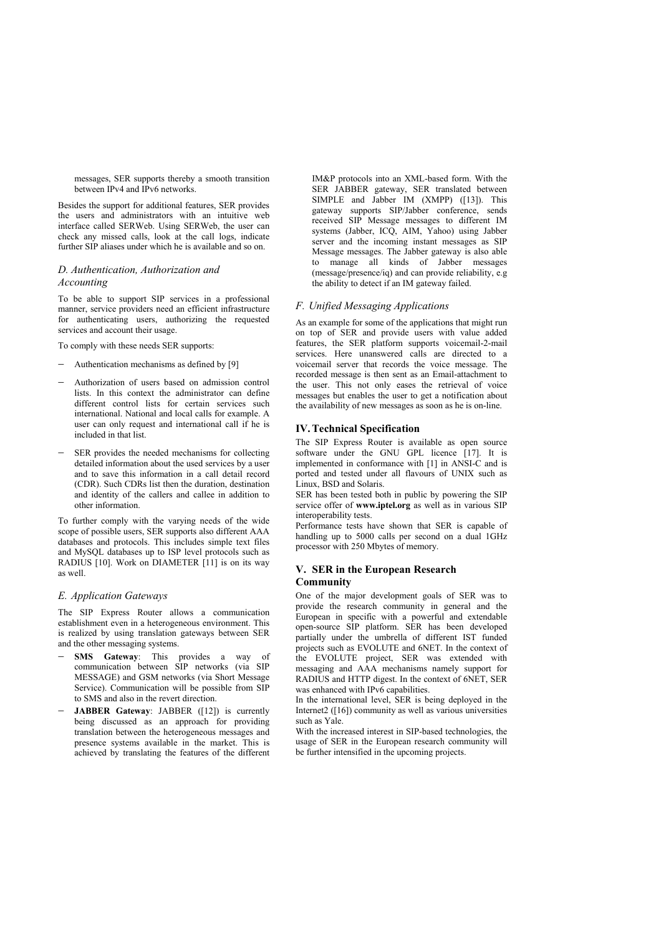messages, SER supports thereby a smooth transition between IPv4 and IPv6 networks.

Besides the support for additional features, SER provides the users and administrators with an intuitive web interface called SERWeb. Using SERWeb, the user can check any missed calls, look at the call logs, indicate further SIP aliases under which he is available and so on.

# *D. Authentication, Authorization and Accounting*

To be able to support SIP services in a professional manner, service providers need an efficient infrastructure for authenticating users, authorizing the requested services and account their usage.

To comply with these needs SER supports:

- − Authentication mechanisms as defined by [9]
- − Authorization of users based on admission control lists. In this context the administrator can define different control lists for certain services such international. National and local calls for example. A user can only request and international call if he is included in that list.
- SER provides the needed mechanisms for collecting detailed information about the used services by a user and to save this information in a call detail record (CDR). Such CDRs list then the duration, destination and identity of the callers and callee in addition to other information.

To further comply with the varying needs of the wide scope of possible users, SER supports also different AAA databases and protocols. This includes simple text files and MySQL databases up to ISP level protocols such as RADIUS [10]. Work on DIAMETER [11] is on its way as well.

#### *E. Application Gateways*

The SIP Express Router allows a communication establishment even in a heterogeneous environment. This is realized by using translation gateways between SER and the other messaging systems.

- − **SMS Gateway**: This provides a way of communication between SIP networks (via SIP MESSAGE) and GSM networks (via Short Message Service). Communication will be possible from SIP to SMS and also in the revert direction.
- − **JABBER Gateway**: JABBER ([12]) is currently being discussed as an approach for providing translation between the heterogeneous messages and presence systems available in the market. This is achieved by translating the features of the different

IM&P protocols into an XML-based form. With the SER JABBER gateway, SER translated between SIMPLE and Jabber IM (XMPP) ([13]). This gateway supports SIP/Jabber conference, sends received SIP Message messages to different IM systems (Jabber, ICQ, AIM, Yahoo) using Jabber server and the incoming instant messages as SIP Message messages. The Jabber gateway is also able to manage all kinds of Jabber messages (message/presence/iq) and can provide reliability, e.g the ability to detect if an IM gateway failed.

## *F. Unified Messaging Applications*

As an example for some of the applications that might run on top of SER and provide users with value added features, the SER platform supports voicemail-2-mail services. Here unanswered calls are directed to a voicemail server that records the voice message. The recorded message is then sent as an Email-attachment to the user. This not only eases the retrieval of voice messages but enables the user to get a notification about the availability of new messages as soon as he is on-line.

## **IV.Technical Specification**

The SIP Express Router is available as open source software under the GNU GPL licence [17]. It is implemented in conformance with [1] in ANSI-C and is ported and tested under all flavours of UNIX such as Linux, BSD and Solaris.

SER has been tested both in public by powering the SIP service offer of **www.iptel.org** as well as in various SIP interoperability tests.

Performance tests have shown that SER is capable of handling up to 5000 calls per second on a dual 1GHz processor with 250 Mbytes of memory.

# **V. SER in the European Research Community**

One of the major development goals of SER was to provide the research community in general and the European in specific with a powerful and extendable open-source SIP platform. SER has been developed partially under the umbrella of different IST funded projects such as EVOLUTE and 6NET. In the context of the EVOLUTE project, SER was extended with messaging and AAA mechanisms namely support for RADIUS and HTTP digest. In the context of 6NET, SER was enhanced with IPv6 capabilities.

In the international level, SER is being deployed in the Internet2 ([16]) community as well as various universities such as Yale.

With the increased interest in SIP-based technologies, the usage of SER in the European research community will be further intensified in the upcoming projects.